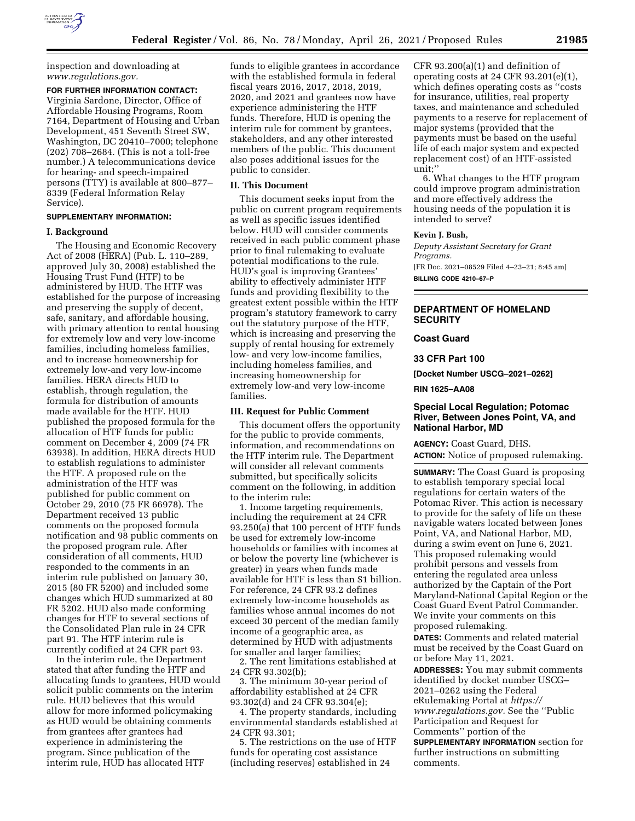

inspection and downloading at *[www.regulations.gov.](http://www.regulations.gov)* 

# **FOR FURTHER INFORMATION CONTACT:**

Virginia Sardone, Director, Office of Affordable Housing Programs, Room 7164, Department of Housing and Urban Development, 451 Seventh Street SW, Washington, DC 20410–7000; telephone (202) 708–2684. (This is not a toll-free number.) A telecommunications device for hearing- and speech-impaired persons (TTY) is available at 800–877– 8339 (Federal Information Relay Service).

## **SUPPLEMENTARY INFORMATION:**

### **I. Background**

The Housing and Economic Recovery Act of 2008 (HERA) (Pub. L. 110–289, approved July 30, 2008) established the Housing Trust Fund (HTF) to be administered by HUD. The HTF was established for the purpose of increasing and preserving the supply of decent, safe, sanitary, and affordable housing, with primary attention to rental housing for extremely low and very low-income families, including homeless families, and to increase homeownership for extremely low-and very low-income families. HERA directs HUD to establish, through regulation, the formula for distribution of amounts made available for the HTF. HUD published the proposed formula for the allocation of HTF funds for public comment on December 4, 2009 (74 FR 63938). In addition, HERA directs HUD to establish regulations to administer the HTF. A proposed rule on the administration of the HTF was published for public comment on October 29, 2010 (75 FR 66978). The Department received 13 public comments on the proposed formula notification and 98 public comments on the proposed program rule. After consideration of all comments, HUD responded to the comments in an interim rule published on January 30, 2015 (80 FR 5200) and included some changes which HUD summarized at 80 FR 5202. HUD also made conforming changes for HTF to several sections of the Consolidated Plan rule in 24 CFR part 91. The HTF interim rule is currently codified at 24 CFR part 93.

In the interim rule, the Department stated that after funding the HTF and allocating funds to grantees, HUD would solicit public comments on the interim rule. HUD believes that this would allow for more informed policymaking as HUD would be obtaining comments from grantees after grantees had experience in administering the program. Since publication of the interim rule, HUD has allocated HTF

funds to eligible grantees in accordance with the established formula in federal fiscal years 2016, 2017, 2018, 2019, 2020, and 2021 and grantees now have experience administering the HTF funds. Therefore, HUD is opening the interim rule for comment by grantees, stakeholders, and any other interested members of the public. This document also poses additional issues for the public to consider.

#### **II. This Document**

This document seeks input from the public on current program requirements as well as specific issues identified below. HUD will consider comments received in each public comment phase prior to final rulemaking to evaluate potential modifications to the rule. HUD's goal is improving Grantees' ability to effectively administer HTF funds and providing flexibility to the greatest extent possible within the HTF program's statutory framework to carry out the statutory purpose of the HTF, which is increasing and preserving the supply of rental housing for extremely low- and very low-income families, including homeless families, and increasing homeownership for extremely low-and very low-income families.

### **III. Request for Public Comment**

This document offers the opportunity for the public to provide comments, information, and recommendations on the HTF interim rule. The Department will consider all relevant comments submitted, but specifically solicits comment on the following, in addition to the interim rule:

1. Income targeting requirements, including the requirement at 24 CFR 93.250(a) that 100 percent of HTF funds be used for extremely low-income households or families with incomes at or below the poverty line (whichever is greater) in years when funds made available for HTF is less than \$1 billion. For reference, 24 CFR 93.2 defines extremely low-income households as families whose annual incomes do not exceed 30 percent of the median family income of a geographic area, as determined by HUD with adjustments for smaller and larger families;

2. The rent limitations established at 24 CFR 93.302(b);

3. The minimum 30-year period of affordability established at 24 CFR 93.302(d) and 24 CFR 93.304(e);

4. The property standards, including environmental standards established at 24 CFR 93.301;

5. The restrictions on the use of HTF funds for operating cost assistance (including reserves) established in 24

CFR 93.200(a)(1) and definition of operating costs at 24 CFR 93.201(e)(1), which defines operating costs as ''costs for insurance, utilities, real property taxes, and maintenance and scheduled payments to a reserve for replacement of major systems (provided that the payments must be based on the useful life of each major system and expected replacement cost) of an HTF-assisted unit;''

6. What changes to the HTF program could improve program administration and more effectively address the housing needs of the population it is intended to serve?

### **Kevin J. Bush,**

*Deputy Assistant Secretary for Grant Programs.* 

[FR Doc. 2021–08529 Filed 4–23–21; 8:45 am] **BILLING CODE 4210–67–P** 

# **DEPARTMENT OF HOMELAND SECURITY**

#### **Coast Guard**

### **33 CFR Part 100**

**[Docket Number USCG–2021–0262]** 

**RIN 1625–AA08** 

## **Special Local Regulation; Potomac River, Between Jones Point, VA, and National Harbor, MD**

**AGENCY:** Coast Guard, DHS. **ACTION:** Notice of proposed rulemaking.

**SUMMARY:** The Coast Guard is proposing to establish temporary special local regulations for certain waters of the Potomac River. This action is necessary to provide for the safety of life on these navigable waters located between Jones Point, VA, and National Harbor, MD, during a swim event on June 6, 2021. This proposed rulemaking would prohibit persons and vessels from entering the regulated area unless authorized by the Captain of the Port Maryland-National Capital Region or the Coast Guard Event Patrol Commander. We invite your comments on this proposed rulemaking.

**DATES:** Comments and related material must be received by the Coast Guard on or before May 11, 2021.

**ADDRESSES:** You may submit comments identified by docket number USCG– 2021–0262 using the Federal eRulemaking Portal at *[https://](https://www.regulations.gov) [www.regulations.gov.](https://www.regulations.gov)* See the ''Public Participation and Request for Comments'' portion of the

**SUPPLEMENTARY INFORMATION** section for further instructions on submitting comments.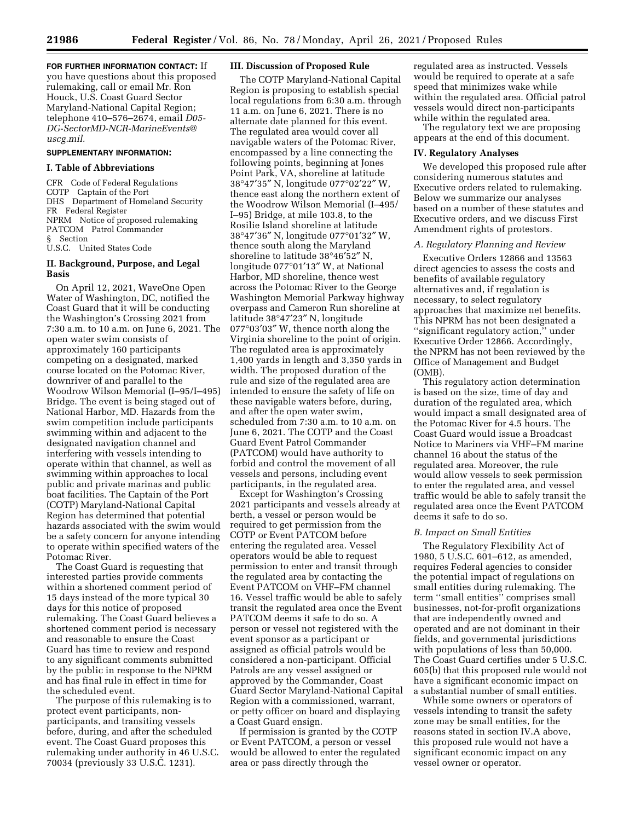**FOR FURTHER INFORMATION CONTACT:** If you have questions about this proposed rulemaking, call or email Mr. Ron Houck, U.S. Coast Guard Sector Maryland-National Capital Region; telephone 410–576–2674, email *[D05-](mailto:D05-DG-SectorMD-NCR-MarineEvents@uscg.mil) [DG-SectorMD-NCR-MarineEvents@](mailto:D05-DG-SectorMD-NCR-MarineEvents@uscg.mil) [uscg.mil.](mailto:D05-DG-SectorMD-NCR-MarineEvents@uscg.mil)* 

### **SUPPLEMENTARY INFORMATION:**

#### **I. Table of Abbreviations**

CFR Code of Federal Regulations COTP Captain of the Port DHS Department of Homeland Security FR Federal Register NPRM Notice of proposed rulemaking PATCOM Patrol Commander § Section U.S.C. United States Code

# **II. Background, Purpose, and Legal Basis**

On April 12, 2021, WaveOne Open Water of Washington, DC, notified the Coast Guard that it will be conducting the Washington's Crossing 2021 from 7:30 a.m. to 10 a.m. on June 6, 2021. The open water swim consists of approximately 160 participants competing on a designated, marked course located on the Potomac River, downriver of and parallel to the Woodrow Wilson Memorial (I–95/I–495) Bridge. The event is being staged out of National Harbor, MD. Hazards from the swim competition include participants swimming within and adjacent to the designated navigation channel and interfering with vessels intending to operate within that channel, as well as swimming within approaches to local public and private marinas and public boat facilities. The Captain of the Port (COTP) Maryland-National Capital Region has determined that potential hazards associated with the swim would be a safety concern for anyone intending to operate within specified waters of the Potomac River.

The Coast Guard is requesting that interested parties provide comments within a shortened comment period of 15 days instead of the more typical 30 days for this notice of proposed rulemaking. The Coast Guard believes a shortened comment period is necessary and reasonable to ensure the Coast Guard has time to review and respond to any significant comments submitted by the public in response to the NPRM and has final rule in effect in time for the scheduled event.

The purpose of this rulemaking is to protect event participants, nonparticipants, and transiting vessels before, during, and after the scheduled event. The Coast Guard proposes this rulemaking under authority in 46 U.S.C. 70034 (previously 33 U.S.C. 1231).

## **III. Discussion of Proposed Rule**

The COTP Maryland-National Capital Region is proposing to establish special local regulations from 6:30 a.m. through 11 a.m. on June 6, 2021. There is no alternate date planned for this event. The regulated area would cover all navigable waters of the Potomac River, encompassed by a line connecting the following points, beginning at Jones Point Park, VA, shoreline at latitude 38°47′35″ N, longitude 077°02′22″ W, thence east along the northern extent of the Woodrow Wilson Memorial (I–495/ I–95) Bridge, at mile 103.8, to the Rosilie Island shoreline at latitude 38°47′36″ N, longitude 077°01′32″ W, thence south along the Maryland shoreline to latitude 38°46′52″ N, longitude 077°01′13″ W, at National Harbor, MD shoreline, thence west across the Potomac River to the George Washington Memorial Parkway highway overpass and Cameron Run shoreline at latitude 38°47′23″ N, longitude 077°03′03″ W, thence north along the Virginia shoreline to the point of origin. The regulated area is approximately 1,400 yards in length and 3,350 yards in width. The proposed duration of the rule and size of the regulated area are intended to ensure the safety of life on these navigable waters before, during, and after the open water swim, scheduled from 7:30 a.m. to 10 a.m. on June 6, 2021. The COTP and the Coast Guard Event Patrol Commander (PATCOM) would have authority to forbid and control the movement of all vessels and persons, including event participants, in the regulated area.

Except for Washington's Crossing 2021 participants and vessels already at berth, a vessel or person would be required to get permission from the COTP or Event PATCOM before entering the regulated area. Vessel operators would be able to request permission to enter and transit through the regulated area by contacting the Event PATCOM on VHF–FM channel 16. Vessel traffic would be able to safely transit the regulated area once the Event PATCOM deems it safe to do so. A person or vessel not registered with the event sponsor as a participant or assigned as official patrols would be considered a non-participant. Official Patrols are any vessel assigned or approved by the Commander, Coast Guard Sector Maryland-National Capital Region with a commissioned, warrant, or petty officer on board and displaying a Coast Guard ensign.

If permission is granted by the COTP or Event PATCOM, a person or vessel would be allowed to enter the regulated area or pass directly through the

regulated area as instructed. Vessels would be required to operate at a safe speed that minimizes wake while within the regulated area. Official patrol vessels would direct non-participants while within the regulated area.

The regulatory text we are proposing appears at the end of this document.

### **IV. Regulatory Analyses**

We developed this proposed rule after considering numerous statutes and Executive orders related to rulemaking. Below we summarize our analyses based on a number of these statutes and Executive orders, and we discuss First Amendment rights of protestors.

### *A. Regulatory Planning and Review*

Executive Orders 12866 and 13563 direct agencies to assess the costs and benefits of available regulatory alternatives and, if regulation is necessary, to select regulatory approaches that maximize net benefits. This NPRM has not been designated a ''significant regulatory action,'' under Executive Order 12866. Accordingly, the NPRM has not been reviewed by the Office of Management and Budget (OMB).

This regulatory action determination is based on the size, time of day and duration of the regulated area, which would impact a small designated area of the Potomac River for 4.5 hours. The Coast Guard would issue a Broadcast Notice to Mariners via VHF–FM marine channel 16 about the status of the regulated area. Moreover, the rule would allow vessels to seek permission to enter the regulated area, and vessel traffic would be able to safely transit the regulated area once the Event PATCOM deems it safe to do so.

#### *B. Impact on Small Entities*

The Regulatory Flexibility Act of 1980, 5 U.S.C. 601–612, as amended, requires Federal agencies to consider the potential impact of regulations on small entities during rulemaking. The term ''small entities'' comprises small businesses, not-for-profit organizations that are independently owned and operated and are not dominant in their fields, and governmental jurisdictions with populations of less than 50,000. The Coast Guard certifies under 5 U.S.C. 605(b) that this proposed rule would not have a significant economic impact on a substantial number of small entities.

While some owners or operators of vessels intending to transit the safety zone may be small entities, for the reasons stated in section IV.A above, this proposed rule would not have a significant economic impact on any vessel owner or operator.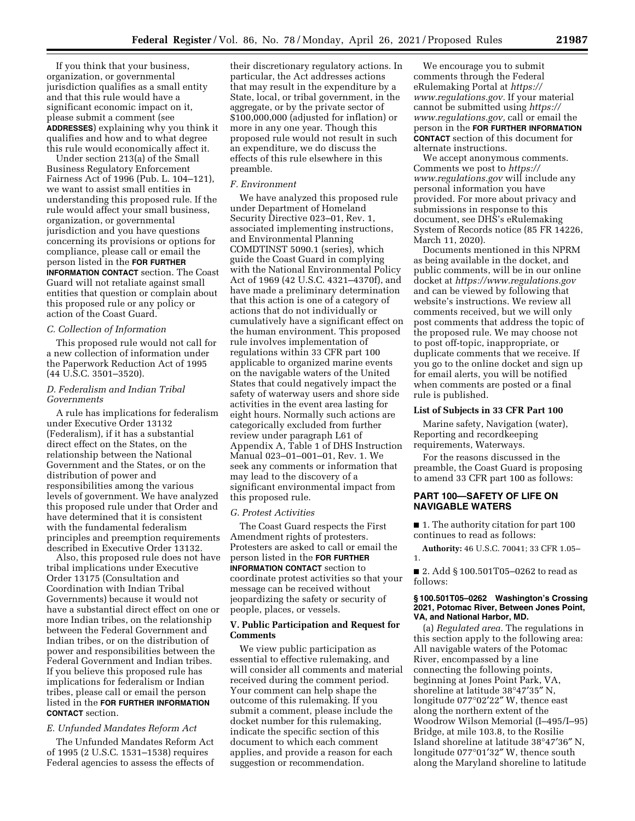If you think that your business, organization, or governmental jurisdiction qualifies as a small entity and that this rule would have a significant economic impact on it, please submit a comment (see **ADDRESSES**) explaining why you think it qualifies and how and to what degree this rule would economically affect it.

Under section 213(a) of the Small Business Regulatory Enforcement Fairness Act of 1996 (Pub. L. 104–121), we want to assist small entities in understanding this proposed rule. If the rule would affect your small business, organization, or governmental jurisdiction and you have questions concerning its provisions or options for compliance, please call or email the person listed in the **FOR FURTHER INFORMATION CONTACT** section. The Coast Guard will not retaliate against small entities that question or complain about this proposed rule or any policy or action of the Coast Guard.

## *C. Collection of Information*

This proposed rule would not call for a new collection of information under the Paperwork Reduction Act of 1995 (44 U.S.C. 3501–3520).

### *D. Federalism and Indian Tribal Governments*

A rule has implications for federalism under Executive Order 13132 (Federalism), if it has a substantial direct effect on the States, on the relationship between the National Government and the States, or on the distribution of power and responsibilities among the various levels of government. We have analyzed this proposed rule under that Order and have determined that it is consistent with the fundamental federalism principles and preemption requirements described in Executive Order 13132.

Also, this proposed rule does not have tribal implications under Executive Order 13175 (Consultation and Coordination with Indian Tribal Governments) because it would not have a substantial direct effect on one or more Indian tribes, on the relationship between the Federal Government and Indian tribes, or on the distribution of power and responsibilities between the Federal Government and Indian tribes. If you believe this proposed rule has implications for federalism or Indian tribes, please call or email the person listed in the **FOR FURTHER INFORMATION CONTACT** section.

# *E. Unfunded Mandates Reform Act*

The Unfunded Mandates Reform Act of 1995 (2 U.S.C. 1531–1538) requires Federal agencies to assess the effects of their discretionary regulatory actions. In particular, the Act addresses actions that may result in the expenditure by a State, local, or tribal government, in the aggregate, or by the private sector of \$100,000,000 (adjusted for inflation) or more in any one year. Though this proposed rule would not result in such an expenditure, we do discuss the effects of this rule elsewhere in this preamble.

### *F. Environment*

We have analyzed this proposed rule under Department of Homeland Security Directive 023–01, Rev. 1, associated implementing instructions, and Environmental Planning COMDTINST 5090.1 (series), which guide the Coast Guard in complying with the National Environmental Policy Act of 1969 (42 U.S.C. 4321–4370f), and have made a preliminary determination that this action is one of a category of actions that do not individually or cumulatively have a significant effect on the human environment. This proposed rule involves implementation of regulations within 33 CFR part 100 applicable to organized marine events on the navigable waters of the United States that could negatively impact the safety of waterway users and shore side activities in the event area lasting for eight hours. Normally such actions are categorically excluded from further review under paragraph L61 of Appendix A, Table 1 of DHS Instruction Manual 023–01–001–01, Rev. 1. We seek any comments or information that may lead to the discovery of a significant environmental impact from this proposed rule.

#### *G. Protest Activities*

The Coast Guard respects the First Amendment rights of protesters. Protesters are asked to call or email the person listed in the **FOR FURTHER INFORMATION CONTACT** section to coordinate protest activities so that your message can be received without jeopardizing the safety or security of people, places, or vessels.

## **V. Public Participation and Request for Comments**

We view public participation as essential to effective rulemaking, and will consider all comments and material received during the comment period. Your comment can help shape the outcome of this rulemaking. If you submit a comment, please include the docket number for this rulemaking, indicate the specific section of this document to which each comment applies, and provide a reason for each suggestion or recommendation.

We encourage you to submit comments through the Federal eRulemaking Portal at *[https://](https://www.regulations.gov) [www.regulations.gov.](https://www.regulations.gov)* If your material cannot be submitted using *[https://](https://www.regulations.gov) [www.regulations.gov,](https://www.regulations.gov)* call or email the person in the **FOR FURTHER INFORMATION CONTACT** section of this document for alternate instructions.

We accept anonymous comments. Comments we post to *[https://](https://www.regulations.gov) [www.regulations.gov](https://www.regulations.gov)* will include any personal information you have provided. For more about privacy and submissions in response to this document, see DHS's eRulemaking System of Records notice (85 FR 14226, March 11, 2020).

Documents mentioned in this NPRM as being available in the docket, and public comments, will be in our online docket at *<https://www.regulations.gov>*  and can be viewed by following that website's instructions. We review all comments received, but we will only post comments that address the topic of the proposed rule. We may choose not to post off-topic, inappropriate, or duplicate comments that we receive. If you go to the online docket and sign up for email alerts, you will be notified when comments are posted or a final rule is published.

### **List of Subjects in 33 CFR Part 100**

Marine safety, Navigation (water), Reporting and recordkeeping requirements, Waterways.

For the reasons discussed in the preamble, the Coast Guard is proposing to amend 33 CFR part 100 as follows:

## **PART 100—SAFETY OF LIFE ON NAVIGABLE WATERS**

■ 1. The authority citation for part 100 continues to read as follows:

**Authority:** 46 U.S.C. 70041; 33 CFR 1.05– 1.

■ 2. Add § 100.501T05-0262 to read as follows:

### **§ 100.501T05–0262 Washington's Crossing 2021, Potomac River, Between Jones Point, VA, and National Harbor, MD.**

(a) *Regulated area.* The regulations in this section apply to the following area: All navigable waters of the Potomac River, encompassed by a line connecting the following points, beginning at Jones Point Park, VA, shoreline at latitude 38°47′35″ N, longitude 077°02′22″ W, thence east along the northern extent of the Woodrow Wilson Memorial (I–495/I–95) Bridge, at mile 103.8, to the Rosilie Island shoreline at latitude 38°47′36″ N, longitude 077°01′32″ W, thence south along the Maryland shoreline to latitude